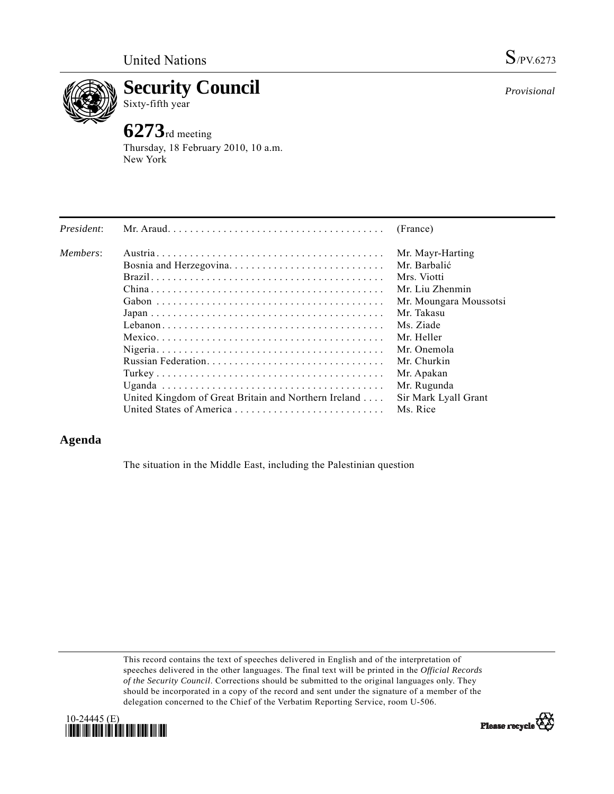

**Security Council** 

## Sixty-fifth year

# **6273**rd meeting

Thursday, 18 February 2010, 10 a.m. New York

| President: |                                                      | (France)               |
|------------|------------------------------------------------------|------------------------|
| Members:   |                                                      | Mr. Mayr-Harting       |
|            | Bosnia and Herzegovina                               | Mr. Barbalić           |
|            |                                                      | Mrs. Viotti            |
|            |                                                      | Mr. Liu Zhenmin        |
|            |                                                      | Mr. Moungara Moussotsi |
|            |                                                      | Mr. Takasu             |
|            |                                                      | Ms. Ziade              |
|            |                                                      | Mr. Heller             |
|            |                                                      | Mr. Onemola            |
|            |                                                      | Mr. Churkin            |
|            |                                                      | Mr. Apakan             |
|            |                                                      | Mr. Rugunda            |
|            | United Kingdom of Great Britain and Northern Ireland | Sir Mark Lyall Grant   |
|            |                                                      | Ms. Rice               |

## **Agenda**

The situation in the Middle East, including the Palestinian question

This record contains the text of speeches delivered in English and of the interpretation of speeches delivered in the other languages. The final text will be printed in the *Official Records of the Security Council*. Corrections should be submitted to the original languages only. They should be incorporated in a copy of the record and sent under the signature of a member of the delegation concerned to the Chief of the Verbatim Reporting Service, room U-506.





*Provisional*

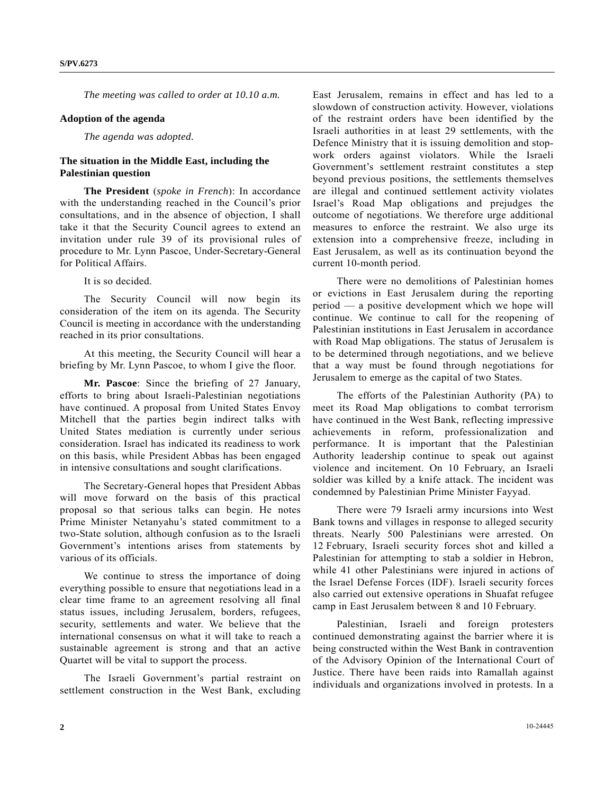*The meeting was called to order at 10.10 a.m.* 

#### **Adoption of the agenda**

 *The agenda was adopted.* 

### **The situation in the Middle East, including the Palestinian question**

 **The President** (*spoke in French*): In accordance with the understanding reached in the Council's prior consultations, and in the absence of objection, I shall take it that the Security Council agrees to extend an invitation under rule 39 of its provisional rules of procedure to Mr. Lynn Pascoe, Under-Secretary-General for Political Affairs.

It is so decided.

 The Security Council will now begin its consideration of the item on its agenda. The Security Council is meeting in accordance with the understanding reached in its prior consultations.

 At this meeting, the Security Council will hear a briefing by Mr. Lynn Pascoe, to whom I give the floor.

**Mr. Pascoe**: Since the briefing of 27 January, efforts to bring about Israeli-Palestinian negotiations have continued. A proposal from United States Envoy Mitchell that the parties begin indirect talks with United States mediation is currently under serious consideration. Israel has indicated its readiness to work on this basis, while President Abbas has been engaged in intensive consultations and sought clarifications.

 The Secretary-General hopes that President Abbas will move forward on the basis of this practical proposal so that serious talks can begin. He notes Prime Minister Netanyahu's stated commitment to a two-State solution, although confusion as to the Israeli Government's intentions arises from statements by various of its officials.

 We continue to stress the importance of doing everything possible to ensure that negotiations lead in a clear time frame to an agreement resolving all final status issues, including Jerusalem, borders, refugees, security, settlements and water. We believe that the international consensus on what it will take to reach a sustainable agreement is strong and that an active Quartet will be vital to support the process.

 The Israeli Government's partial restraint on settlement construction in the West Bank, excluding East Jerusalem, remains in effect and has led to a slowdown of construction activity. However, violations of the restraint orders have been identified by the Israeli authorities in at least 29 settlements, with the Defence Ministry that it is issuing demolition and stopwork orders against violators. While the Israeli Government's settlement restraint constitutes a step beyond previous positions, the settlements themselves are illegal and continued settlement activity violates Israel's Road Map obligations and prejudges the outcome of negotiations. We therefore urge additional measures to enforce the restraint. We also urge its extension into a comprehensive freeze, including in East Jerusalem, as well as its continuation beyond the current 10-month period.

 There were no demolitions of Palestinian homes or evictions in East Jerusalem during the reporting period — a positive development which we hope will continue. We continue to call for the reopening of Palestinian institutions in East Jerusalem in accordance with Road Map obligations. The status of Jerusalem is to be determined through negotiations, and we believe that a way must be found through negotiations for Jerusalem to emerge as the capital of two States.

 The efforts of the Palestinian Authority (PA) to meet its Road Map obligations to combat terrorism have continued in the West Bank, reflecting impressive achievements in reform, professionalization and performance. It is important that the Palestinian Authority leadership continue to speak out against violence and incitement. On 10 February, an Israeli soldier was killed by a knife attack. The incident was condemned by Palestinian Prime Minister Fayyad.

 There were 79 Israeli army incursions into West Bank towns and villages in response to alleged security threats. Nearly 500 Palestinians were arrested. On 12 February, Israeli security forces shot and killed a Palestinian for attempting to stab a soldier in Hebron, while 41 other Palestinians were injured in actions of the Israel Defense Forces (IDF). Israeli security forces also carried out extensive operations in Shuafat refugee camp in East Jerusalem between 8 and 10 February.

 Palestinian, Israeli and foreign protesters continued demonstrating against the barrier where it is being constructed within the West Bank in contravention of the Advisory Opinion of the International Court of Justice. There have been raids into Ramallah against individuals and organizations involved in protests. In a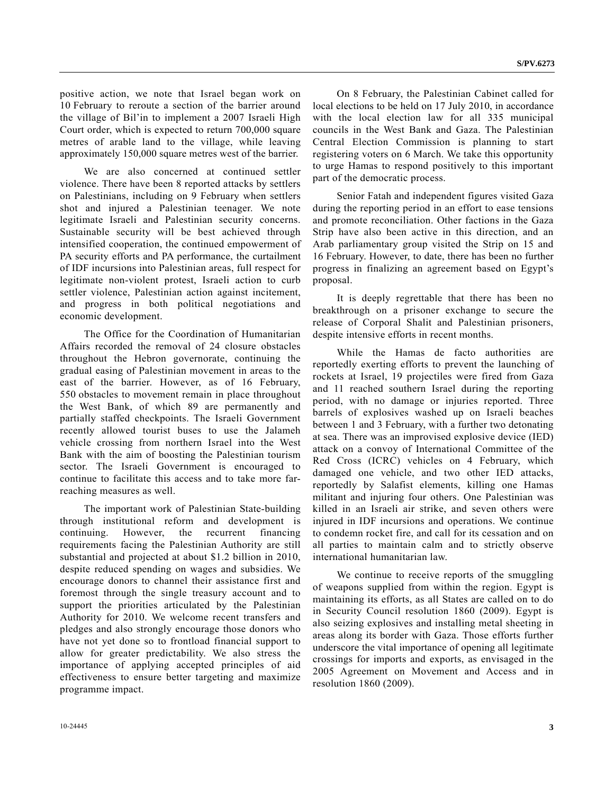positive action, we note that Israel began work on 10 February to reroute a section of the barrier around the village of Bil'in to implement a 2007 Israeli High Court order, which is expected to return 700,000 square metres of arable land to the village, while leaving approximately 150,000 square metres west of the barrier.

 We are also concerned at continued settler violence. There have been 8 reported attacks by settlers on Palestinians, including on 9 February when settlers shot and injured a Palestinian teenager. We note legitimate Israeli and Palestinian security concerns. Sustainable security will be best achieved through intensified cooperation, the continued empowerment of PA security efforts and PA performance, the curtailment of IDF incursions into Palestinian areas, full respect for legitimate non-violent protest, Israeli action to curb settler violence, Palestinian action against incitement, and progress in both political negotiations and economic development.

 The Office for the Coordination of Humanitarian Affairs recorded the removal of 24 closure obstacles throughout the Hebron governorate, continuing the gradual easing of Palestinian movement in areas to the east of the barrier. However, as of 16 February, 550 obstacles to movement remain in place throughout the West Bank, of which 89 are permanently and partially staffed checkpoints. The Israeli Government recently allowed tourist buses to use the Jalameh vehicle crossing from northern Israel into the West Bank with the aim of boosting the Palestinian tourism sector. The Israeli Government is encouraged to continue to facilitate this access and to take more farreaching measures as well.

 The important work of Palestinian State-building through institutional reform and development is continuing. However, the recurrent financing requirements facing the Palestinian Authority are still substantial and projected at about \$1.2 billion in 2010, despite reduced spending on wages and subsidies. We encourage donors to channel their assistance first and foremost through the single treasury account and to support the priorities articulated by the Palestinian Authority for 2010. We welcome recent transfers and pledges and also strongly encourage those donors who have not yet done so to frontload financial support to allow for greater predictability. We also stress the importance of applying accepted principles of aid effectiveness to ensure better targeting and maximize programme impact.

 On 8 February, the Palestinian Cabinet called for local elections to be held on 17 July 2010, in accordance with the local election law for all 335 municipal councils in the West Bank and Gaza. The Palestinian Central Election Commission is planning to start registering voters on 6 March. We take this opportunity to urge Hamas to respond positively to this important part of the democratic process.

 Senior Fatah and independent figures visited Gaza during the reporting period in an effort to ease tensions and promote reconciliation. Other factions in the Gaza Strip have also been active in this direction, and an Arab parliamentary group visited the Strip on 15 and 16 February. However, to date, there has been no further progress in finalizing an agreement based on Egypt's proposal.

 It is deeply regrettable that there has been no breakthrough on a prisoner exchange to secure the release of Corporal Shalit and Palestinian prisoners, despite intensive efforts in recent months.

 While the Hamas de facto authorities are reportedly exerting efforts to prevent the launching of rockets at Israel, 19 projectiles were fired from Gaza and 11 reached southern Israel during the reporting period, with no damage or injuries reported. Three barrels of explosives washed up on Israeli beaches between 1 and 3 February, with a further two detonating at sea. There was an improvised explosive device (IED) attack on a convoy of International Committee of the Red Cross (ICRC) vehicles on 4 February, which damaged one vehicle, and two other IED attacks, reportedly by Salafist elements, killing one Hamas militant and injuring four others. One Palestinian was killed in an Israeli air strike, and seven others were injured in IDF incursions and operations. We continue to condemn rocket fire, and call for its cessation and on all parties to maintain calm and to strictly observe international humanitarian law.

 We continue to receive reports of the smuggling of weapons supplied from within the region. Egypt is maintaining its efforts, as all States are called on to do in Security Council resolution 1860 (2009). Egypt is also seizing explosives and installing metal sheeting in areas along its border with Gaza. Those efforts further underscore the vital importance of opening all legitimate crossings for imports and exports, as envisaged in the 2005 Agreement on Movement and Access and in resolution 1860 (2009).